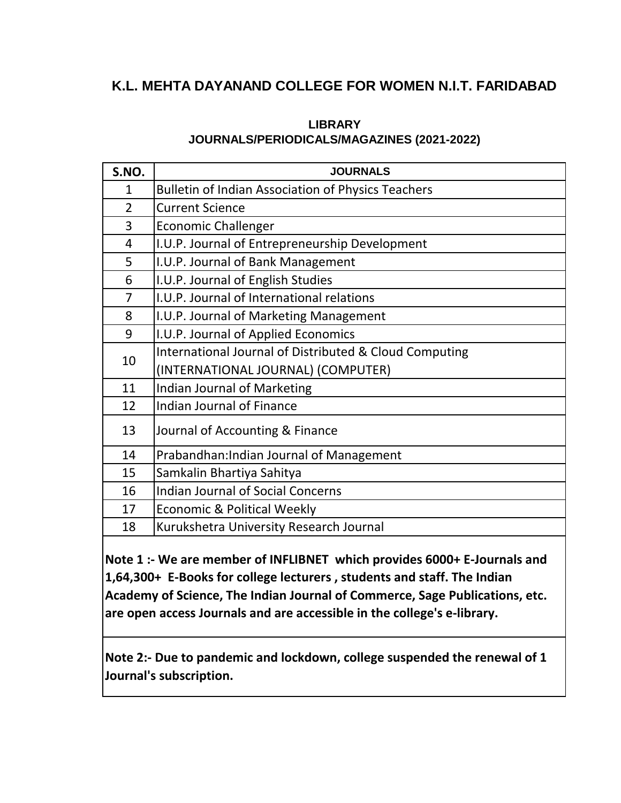# **K.L. MEHTA DAYANAND COLLEGE FOR WOMEN N.I.T. FARIDABAD**

### **LIBRARY JOURNALS/PERIODICALS/MAGAZINES (2021-2022)**

| S.NO.          | <b>JOURNALS</b>                                           |
|----------------|-----------------------------------------------------------|
| 1              | <b>Bulletin of Indian Association of Physics Teachers</b> |
| $\overline{2}$ | <b>Current Science</b>                                    |
| 3              | <b>Economic Challenger</b>                                |
| 4              | I.U.P. Journal of Entrepreneurship Development            |
| 5              | I.U.P. Journal of Bank Management                         |
| 6              | I.U.P. Journal of English Studies                         |
| $\overline{7}$ | I.U.P. Journal of International relations                 |
| 8              | I.U.P. Journal of Marketing Management                    |
| 9              | I.U.P. Journal of Applied Economics                       |
| 10             | International Journal of Distributed & Cloud Computing    |
|                | (INTERNATIONAL JOURNAL) (COMPUTER)                        |
| 11             | Indian Journal of Marketing                               |
| 12             | <b>Indian Journal of Finance</b>                          |
| 13             | Journal of Accounting & Finance                           |
| 14             | Prabandhan: Indian Journal of Management                  |
| 15             | Samkalin Bhartiya Sahitya                                 |
| 16             | <b>Indian Journal of Social Concerns</b>                  |
| 17             | Economic & Political Weekly                               |
| 18             | Kurukshetra University Research Journal                   |

**Note 1 :- We are member of INFLIBNET which provides 6000+ E-Journals and 1,64,300+ E-Books for college lecturers , students and staff. The Indian Academy of Science, The Indian Journal of Commerce, Sage Publications, etc. are open access Journals and are accessible in the college's e-library.**

**Note 2:- Due to pandemic and lockdown, college suspended the renewal of 1 Journal's subscription.**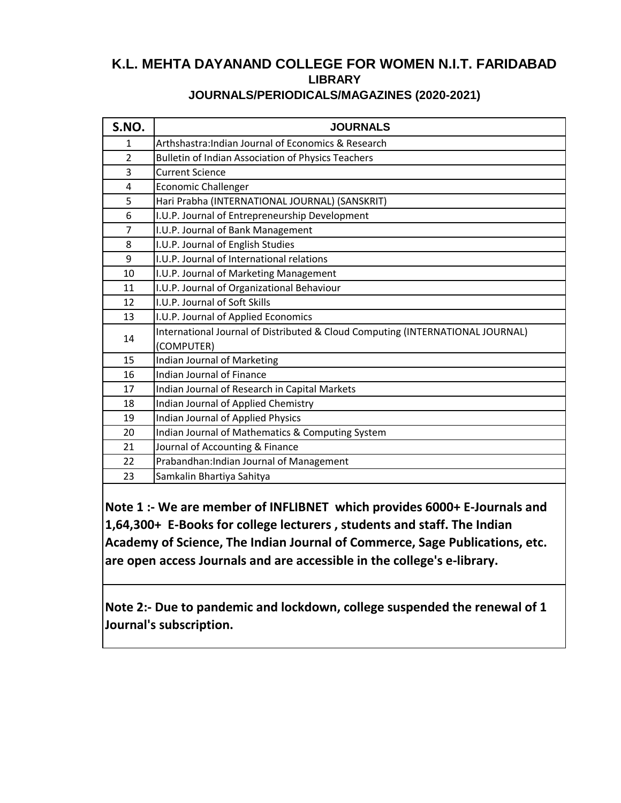# **K.L. MEHTA DAYANAND COLLEGE FOR WOMEN N.I.T. FARIDABAD LIBRARY**

#### **JOURNALS/PERIODICALS/MAGAZINES (2020-2021)**

| S.NO.          | <b>JOURNALS</b>                                                                |
|----------------|--------------------------------------------------------------------------------|
| $\mathbf{1}$   | Arthshastra: Indian Journal of Economics & Research                            |
| $\overline{2}$ | <b>Bulletin of Indian Association of Physics Teachers</b>                      |
| 3              | <b>Current Science</b>                                                         |
| 4              | <b>Economic Challenger</b>                                                     |
| 5              | Hari Prabha (INTERNATIONAL JOURNAL) (SANSKRIT)                                 |
| 6              | I.U.P. Journal of Entrepreneurship Development                                 |
| 7              | I.U.P. Journal of Bank Management                                              |
| 8              | I.U.P. Journal of English Studies                                              |
| 9              | I.U.P. Journal of International relations                                      |
| 10             | I.U.P. Journal of Marketing Management                                         |
| 11             | I.U.P. Journal of Organizational Behaviour                                     |
| 12             | I.U.P. Journal of Soft Skills                                                  |
| 13             | I.U.P. Journal of Applied Economics                                            |
| 14             | International Journal of Distributed & Cloud Computing (INTERNATIONAL JOURNAL) |
|                | (COMPUTER)                                                                     |
| 15             | Indian Journal of Marketing                                                    |
| 16             | <b>Indian Journal of Finance</b>                                               |
| 17             | Indian Journal of Research in Capital Markets                                  |
| 18             | Indian Journal of Applied Chemistry                                            |
| 19             | Indian Journal of Applied Physics                                              |
| 20             | Indian Journal of Mathematics & Computing System                               |
| 21             | Journal of Accounting & Finance                                                |
| 22             | Prabandhan: Indian Journal of Management                                       |
| 23             | Samkalin Bhartiya Sahitya                                                      |

**Note 1 :- We are member of INFLIBNET which provides 6000+ E-Journals and 1,64,300+ E-Books for college lecturers , students and staff. The Indian Academy of Science, The Indian Journal of Commerce, Sage Publications, etc. are open access Journals and are accessible in the college's e-library.**

**Note 2:- Due to pandemic and lockdown, college suspended the renewal of 1 Journal's subscription.**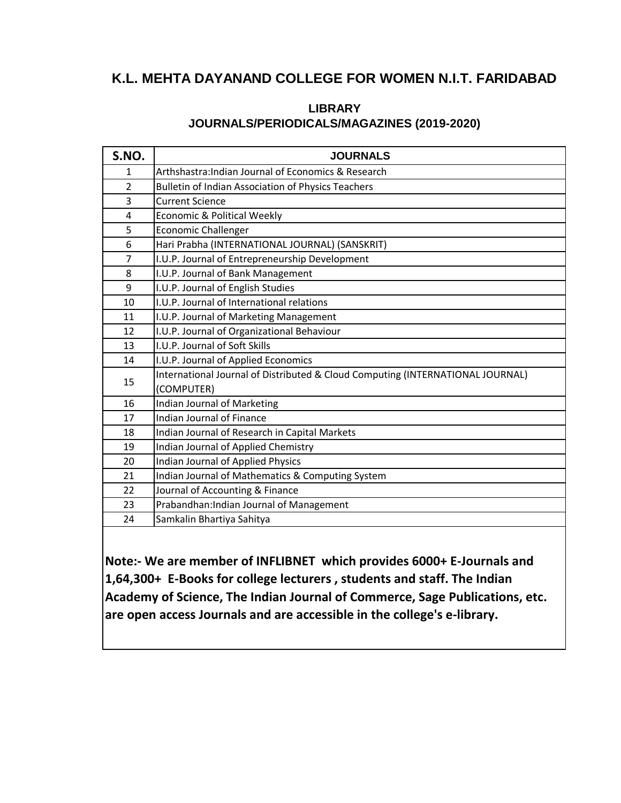## **K.L. MEHTA DAYANAND COLLEGE FOR WOMEN N.I.T. FARIDABAD**

### **JOURNALS/PERIODICALS/MAGAZINES (2019-2020) LIBRARY**

| S.NO.          | <b>JOURNALS</b>                                                                |
|----------------|--------------------------------------------------------------------------------|
| 1              | Arthshastra: Indian Journal of Economics & Research                            |
| $\overline{2}$ | <b>Bulletin of Indian Association of Physics Teachers</b>                      |
| 3              | <b>Current Science</b>                                                         |
| 4              | Economic & Political Weekly                                                    |
| 5              | <b>Economic Challenger</b>                                                     |
| 6              | Hari Prabha (INTERNATIONAL JOURNAL) (SANSKRIT)                                 |
| 7              | I.U.P. Journal of Entrepreneurship Development                                 |
| 8              | I.U.P. Journal of Bank Management                                              |
| 9              | I.U.P. Journal of English Studies                                              |
| 10             | I.U.P. Journal of International relations                                      |
| 11             | I.U.P. Journal of Marketing Management                                         |
| 12             | I.U.P. Journal of Organizational Behaviour                                     |
| 13             | I.U.P. Journal of Soft Skills                                                  |
| 14             | I.U.P. Journal of Applied Economics                                            |
| 15             | International Journal of Distributed & Cloud Computing (INTERNATIONAL JOURNAL) |
|                | (COMPUTER)                                                                     |
| 16             | Indian Journal of Marketing                                                    |
| 17             | Indian Journal of Finance                                                      |
| 18             | Indian Journal of Research in Capital Markets                                  |
| 19             | Indian Journal of Applied Chemistry                                            |
| 20             | Indian Journal of Applied Physics                                              |
| 21             | Indian Journal of Mathematics & Computing System                               |
| 22             | Journal of Accounting & Finance                                                |
| 23             | Prabandhan: Indian Journal of Management                                       |
| 24             | Samkalin Bhartiya Sahitya                                                      |

**Note:- We are member of INFLIBNET which provides 6000+ E-Journals and 1,64,300+ E-Books for college lecturers , students and staff. The Indian Academy of Science, The Indian Journal of Commerce, Sage Publications, etc. are open access Journals and are accessible in the college's e-library.**